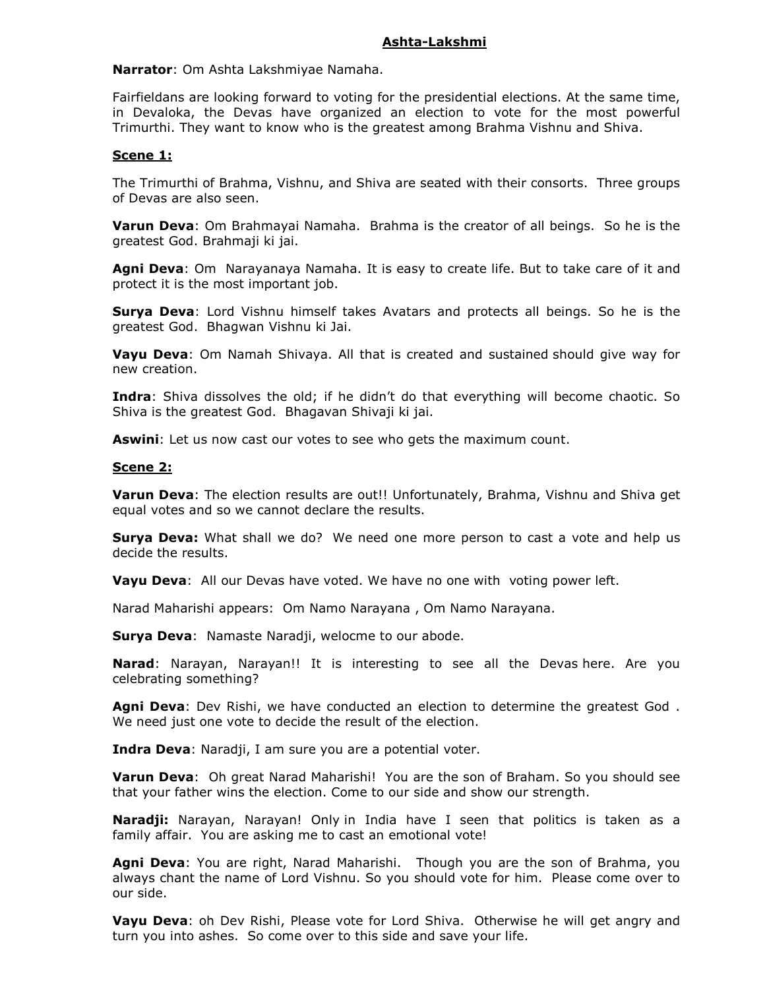### Ashta-Lakshmi

Narrator: Om Ashta Lakshmiyae Namaha.

Fairfieldans are looking forward to voting for the presidential elections. At the same time, in Devaloka, the Devas have organized an election to vote for the most powerful Trimurthi. They want to know who is the greatest among Brahma Vishnu and Shiva.

## Scene 1:

The Trimurthi of Brahma, Vishnu, and Shiva are seated with their consorts. Three groups of Devas are also seen.

**Varun Deva:** Om Brahmayai Namaha. Brahma is the creator of all beings. So he is the greatest God. Brahmaji ki jai.

Agni Deva: Om Narayanaya Namaha. It is easy to create life. But to take care of it and protect it is the most important job.

**Surya Deva:** Lord Vishnu himself takes Avatars and protects all beings. So he is the greatest God. Bhagwan Vishnu ki Jai.

**Vayu Deva:** Om Namah Shivaya. All that is created and sustained should give way for new creation.

**Indra:** Shiva dissolves the old; if he didn't do that everything will become chaotic. So Shiva is the greatest God. Bhagavan Shivaji ki jai.

Aswini: Let us now cast our votes to see who gets the maximum count.

#### Scene 2:

Varun Deva: The election results are out!! Unfortunately, Brahma, Vishnu and Shiva get equal votes and so we cannot declare the results.

**Surya Deva:** What shall we do? We need one more person to cast a vote and help us decide the results.

Vayu Deva: All our Devas have voted. We have no one with voting power left.

Narad Maharishi appears: Om Namo Narayana , Om Namo Narayana.

**Surya Deva:** Namaste Naradji, welocme to our abode.

Narad: Narayan, Narayan!! It is interesting to see all the Devas here. Are you celebrating something?

Agni Deva: Dev Rishi, we have conducted an election to determine the greatest God. We need just one vote to decide the result of the election.

Indra Deva: Naradji, I am sure you are a potential voter.

**Varun Deva:** Oh great Narad Maharishi! You are the son of Braham. So you should see that your father wins the election. Come to our side and show our strength.

Naradji: Narayan, Narayan! Only in India have I seen that politics is taken as a family affair. You are asking me to cast an emotional vote!

Agni Deva: You are right, Narad Maharishi. Though you are the son of Brahma, you always chant the name of Lord Vishnu. So you should vote for him. Please come over to our side.

Vayu Deva: oh Dev Rishi, Please vote for Lord Shiva. Otherwise he will get angry and turn you into ashes. So come over to this side and save your life.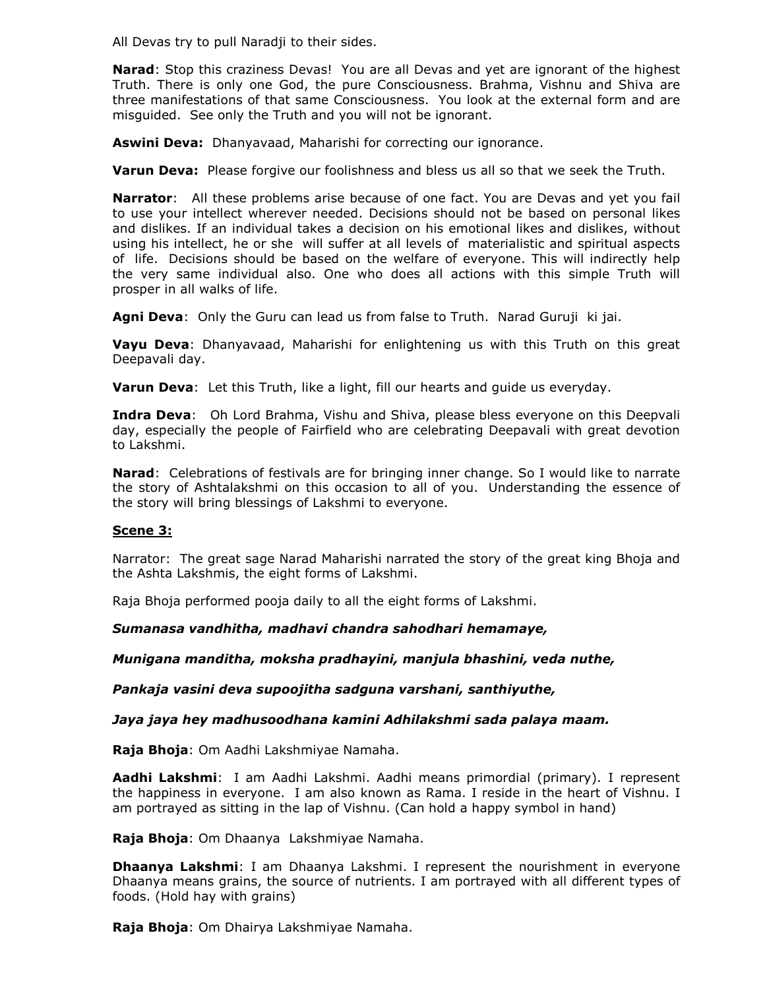All Devas try to pull Naradji to their sides.

Narad: Stop this craziness Devas! You are all Devas and yet are ignorant of the highest Truth. There is only one God, the pure Consciousness. Brahma, Vishnu and Shiva are three manifestations of that same Consciousness. You look at the external form and are misguided. See only the Truth and you will not be ignorant.

Aswini Deva: Dhanyavaad, Maharishi for correcting our ignorance.

**Varun Deva:** Please forgive our foolishness and bless us all so that we seek the Truth.

**Narrator**: All these problems arise because of one fact. You are Devas and yet you fail to use your intellect wherever needed. Decisions should not be based on personal likes and dislikes. If an individual takes a decision on his emotional likes and dislikes, without using his intellect, he or she will suffer at all levels of materialistic and spiritual aspects of life. Decisions should be based on the welfare of everyone. This will indirectly help the very same individual also. One who does all actions with this simple Truth will prosper in all walks of life.

Agni Deva: Only the Guru can lead us from false to Truth. Narad Guruji ki jai.

Vayu Deva: Dhanyavaad, Maharishi for enlightening us with this Truth on this great Deepavali day.

Varun Deva: Let this Truth, like a light, fill our hearts and quide us everyday.

**Indra Deva:** Oh Lord Brahma, Vishu and Shiva, please bless everyone on this Deepvali day, especially the people of Fairfield who are celebrating Deepavali with great devotion to Lakshmi.

Narad: Celebrations of festivals are for bringing inner change. So I would like to narrate the story of Ashtalakshmi on this occasion to all of you. Understanding the essence of the story will bring blessings of Lakshmi to everyone.

#### Scene 3:

Narrator: The great sage Narad Maharishi narrated the story of the great king Bhoja and the Ashta Lakshmis, the eight forms of Lakshmi.

Raja Bhoja performed pooja daily to all the eight forms of Lakshmi.

Sumanasa vandhitha, madhavi chandra sahodhari hemamaye,

Munigana manditha, moksha pradhayini, manjula bhashini, veda nuthe,

Pankaja vasini deva supoojitha sadguna varshani, santhiyuthe,

Jaya jaya hey madhusoodhana kamini Adhilakshmi sada palaya maam.

Raja Bhoja: Om Aadhi Lakshmiyae Namaha.

Aadhi Lakshmi: I am Aadhi Lakshmi. Aadhi means primordial (primary). I represent the happiness in everyone. I am also known as Rama. I reside in the heart of Vishnu. I am portrayed as sitting in the lap of Vishnu. (Can hold a happy symbol in hand)

Raja Bhoja: Om Dhaanya Lakshmiyae Namaha.

**Dhaanya Lakshmi:** I am Dhaanya Lakshmi. I represent the nourishment in everyone Dhaanya means grains, the source of nutrients. I am portrayed with all different types of foods. (Hold hay with grains)

Raja Bhoja: Om Dhairya Lakshmiyae Namaha.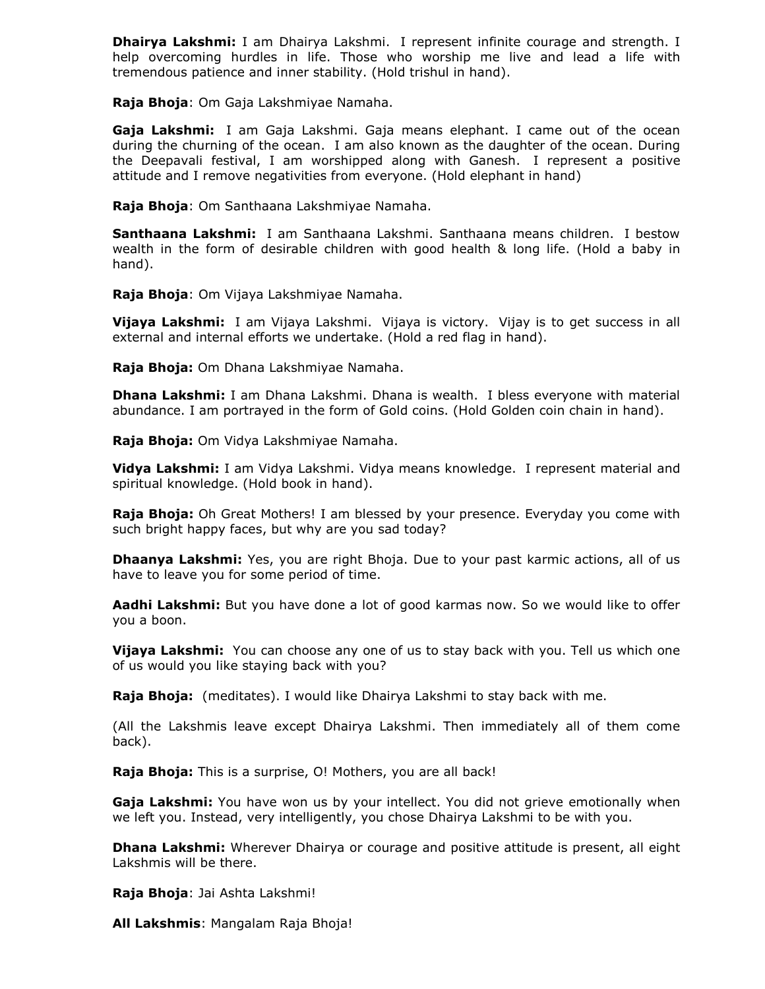Dhairya Lakshmi: I am Dhairya Lakshmi. I represent infinite courage and strength. I help overcoming hurdles in life. Those who worship me live and lead a life with tremendous patience and inner stability. (Hold trishul in hand).

Raja Bhoja: Om Gaja Lakshmiyae Namaha.

Gaja Lakshmi: I am Gaja Lakshmi. Gaja means elephant. I came out of the ocean during the churning of the ocean. I am also known as the daughter of the ocean. During the Deepavali festival, I am worshipped along with Ganesh. I represent a positive attitude and I remove negativities from everyone. (Hold elephant in hand)

Raja Bhoja: Om Santhaana Lakshmiyae Namaha.

Santhaana Lakshmi: I am Santhaana Lakshmi. Santhaana means children. I bestow wealth in the form of desirable children with good health & long life. (Hold a baby in hand).

Raja Bhoja: Om Vijaya Lakshmiyae Namaha.

Vijaya Lakshmi: I am Vijaya Lakshmi. Vijaya is victory. Vijay is to get success in all external and internal efforts we undertake. (Hold a red flag in hand).

Raja Bhoja: Om Dhana Lakshmiyae Namaha.

**Dhana Lakshmi:** I am Dhana Lakshmi. Dhana is wealth. I bless everyone with material abundance. I am portrayed in the form of Gold coins. (Hold Golden coin chain in hand).

Raja Bhoja: Om Vidya Lakshmiyae Namaha.

Vidya Lakshmi: I am Vidya Lakshmi. Vidya means knowledge. I represent material and spiritual knowledge. (Hold book in hand).

**Raja Bhoja:** Oh Great Mothers! I am blessed by your presence. Everyday you come with such bright happy faces, but why are you sad today?

**Dhaanya Lakshmi:** Yes, you are right Bhoja. Due to your past karmic actions, all of us have to leave you for some period of time.

Aadhi Lakshmi: But you have done a lot of good karmas now. So we would like to offer you a boon.

Vijaya Lakshmi: You can choose any one of us to stay back with you. Tell us which one of us would you like staying back with you?

**Raja Bhoja:** (meditates). I would like Dhairya Lakshmi to stay back with me.

(All the Lakshmis leave except Dhairya Lakshmi. Then immediately all of them come back).

Raja Bhoja: This is a surprise, O! Mothers, you are all back!

Gaja Lakshmi: You have won us by your intellect. You did not grieve emotionally when we left you. Instead, very intelligently, you chose Dhairya Lakshmi to be with you.

**Dhana Lakshmi:** Wherever Dhairya or courage and positive attitude is present, all eight Lakshmis will be there.

Raja Bhoja: Jai Ashta Lakshmi!

All Lakshmis: Mangalam Raja Bhoja!